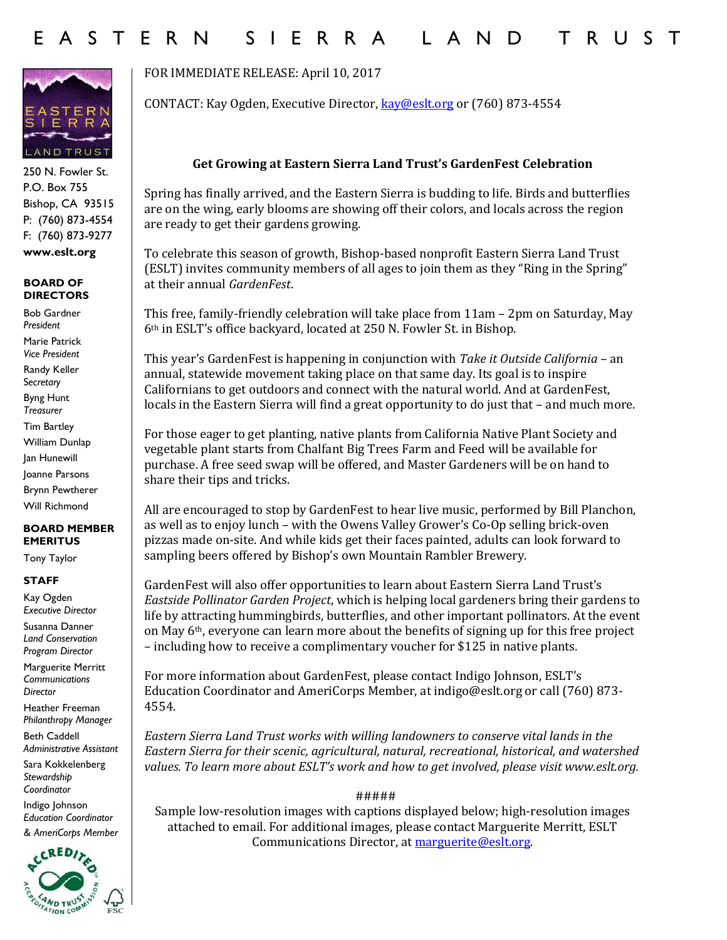# E A S T E R N S I E R R A L A N D T R U S T



250 N. Fowler St. P.O. Box 755 Bishop, CA 93515 P: (760) 873-4554 F: (760) 873-9277 **www.eslt.org**

#### **BOARD OF DIRECTORS**

Bob Gardner *President* Marie Patrick *Vice President* Randy Keller S*ecretary* Byng Hunt *Treasurer* Tim Bartley William Dunlap Jan Hunewill Joanne Parsons Brynn Pewtherer Will Richmond

### **BOARD MEMBER EMERITUS**

Tony Taylor

### **STAFF**

Kay Ogden *Executive Director*

Susanna Danner *Land Conservation Program Director*

Marguerite Merritt *Communications Director*

Heather Freeman *Philanthropy Manager*

Beth Caddell *Administrative Assistant* 

Sara Kokkelenberg *Stewardship Coordinator* 

Indigo Johnson *Education Coordinator & AmeriCorps Member*



FOR IMMEDIATE RELEASE: April 10, 2017

CONTACT: Kay Ogden, Executive Director, [kay@eslt.org](mailto:kay@eslt.org) or (760) 873-4554

## **Get Growing at Eastern Sierra Land Trust's GardenFest Celebration**

Spring has finally arrived, and the Eastern Sierra is budding to life. Birds and butterflies are on the wing, early blooms are showing off their colors, and locals across the region are ready to get their gardens growing.

To celebrate this season of growth, Bishop-based nonprofit Eastern Sierra Land Trust (ESLT) invites community members of all ages to join them as they "Ring in the Spring" at their annual *GardenFest*.

This free, family-friendly celebration will take place from 11am – 2pm on Saturday, May 6th in ESLT's office backyard, located at 250 N. Fowler St. in Bishop.

This year's GardenFest is happening in conjunction with *Take it Outside California* – an annual, statewide movement taking place on that same day. Its goal is to inspire Californians to get outdoors and connect with the natural world. And at GardenFest, locals in the Eastern Sierra will find a great opportunity to do just that – and much more.

For those eager to get planting, native plants from California Native Plant Society and vegetable plant starts from Chalfant Big Trees Farm and Feed will be available for purchase. A free seed swap will be offered, and Master Gardeners will be on hand to share their tips and tricks.

All are encouraged to stop by GardenFest to hear live music, performed by Bill Planchon, as well as to enjoy lunch – with the Owens Valley Grower's Co-Op selling brick-oven pizzas made on-site. And while kids get their faces painted, adults can look forward to sampling beers offered by Bishop's own Mountain Rambler Brewery.

GardenFest will also offer opportunities to learn about Eastern Sierra Land Trust's *Eastside Pollinator Garden Project*, which is helping local gardeners bring their gardens to life by attracting hummingbirds, butterflies, and other important pollinators. At the event on May 6th, everyone can learn more about the benefits of signing up for this free project – including how to receive a complimentary voucher for \$125 in native plants.

For more information about GardenFest, please contact Indigo Johnson, ESLT's Education Coordinator and AmeriCorps Member, at indigo@eslt.org or call (760) 873- 4554.

*Eastern Sierra Land Trust works with willing landowners to conserve vital lands in the Eastern Sierra for their scenic, agricultural, natural, recreational, historical, and watershed values. To learn more about ESLT's work and how to get involved, please visit www.eslt.org.*

#####

Sample low-resolution images with captions displayed below; high-resolution images attached to email. For additional images, please contact Marguerite Merritt, ESLT Communications Director, a[t marguerite@eslt.org.](mailto:marguerite@eslt.org)